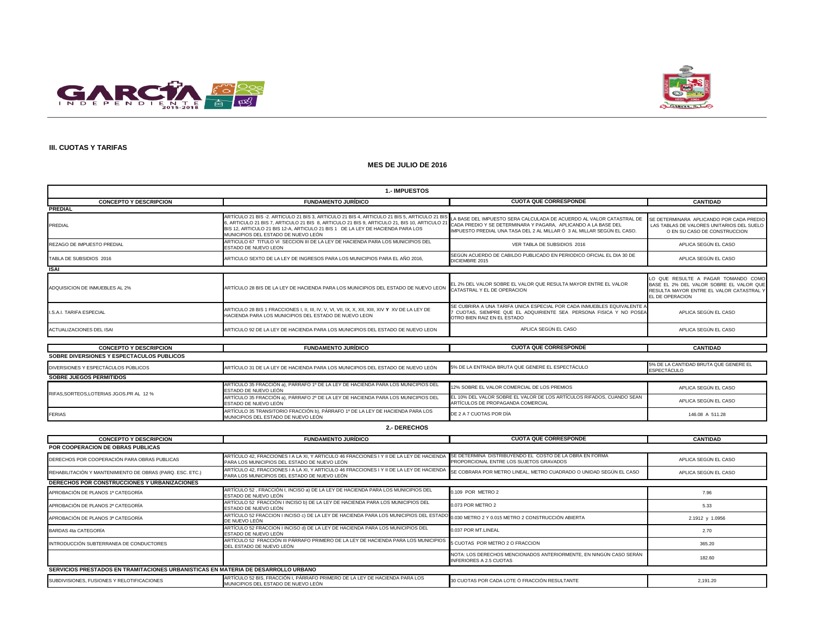



#### **III. CUOTAS Y TARIFAS**

#### **MES DE JULIO DE 2016**

| <b>1.-IMPUESTOS</b>                       |                                                                                                                                                                                                                                                                                                                       |                                                                                                                                                                                                                  |                                                                                                                                               |  |
|-------------------------------------------|-----------------------------------------------------------------------------------------------------------------------------------------------------------------------------------------------------------------------------------------------------------------------------------------------------------------------|------------------------------------------------------------------------------------------------------------------------------------------------------------------------------------------------------------------|-----------------------------------------------------------------------------------------------------------------------------------------------|--|
| <b>CONCEPTO Y DESCRIPCION</b>             | <b>FUNDAMENTO JURÍDICO</b>                                                                                                                                                                                                                                                                                            | <b>CUOTA QUE CORRESPONDE</b>                                                                                                                                                                                     | <b>CANTIDAD</b>                                                                                                                               |  |
| <b>PREDIAL</b>                            |                                                                                                                                                                                                                                                                                                                       |                                                                                                                                                                                                                  |                                                                                                                                               |  |
| PREDIAL                                   | ARTÍCULO 21 BIS -2. ARTICULO 21 BIS 3, ARTICULO 21 BIS 4, ARTICULO 21 BIS 5, ARTICULO 21 BIS<br>3, ARTICULO 21 BIS 7, ARTICULO 21 BIS 8, ARTICULO 21 BIS 9, ARTICULO 21, BIS 10, ARTICULO 21<br>BIS 12. ARTICULO 21 BIS 12-A. ARTICULO 21 BIS 1 DE LA LEY DE HACIENDA PARA LOS<br>MUNICIPIOS DEL ESTADO DE NUEVO LEÓN | LA BASE DEL IMPUESTO SERA CALCULADA DE ACUERDO AL VALOR CATASTRAL DE<br>CADA PREDIO Y SE DETERMINARA Y PAGARA, APLICANDO A LA BASE DEL<br>IMPUESTO PREDIAL UNA TASA DEL 2 AL MILLAR Ó 3 AL MILLAR SEGÚN EL CASO. | SE DETERMINARA APLICANDO POR CADA PREDIO<br>LAS TABLAS DE VALORES UNITARIOS DEL SUELO<br>O EN SU CASO DE CONSTRUCCION                         |  |
| REZAGO DE IMPUESTO PREDIAL                | ARTICULO 67 TITULO VI SECCION III DE LA LEY DE HACIENDA PARA LOS MUNICIPIOS DEL<br>ESTADO DE NUEVO LEON                                                                                                                                                                                                               | VER TABLA DE SUBSIDIOS 2016                                                                                                                                                                                      | APLICA SEGÚN EL CASO                                                                                                                          |  |
| TABLA DE SUBSIDIOS 2016                   | ARTICULO SEXTO DE LA LEY DE INGRESOS PARA LOS MUNICIPIOS PARA EL AÑO 2016.                                                                                                                                                                                                                                            | SEGÚN ACUERDO DE CABILDO PUBLICADO EN PERIODICO OFICIAL EL DIA 30 DE<br>DICIEMBRE 2015                                                                                                                           | APLICA SEGÚN EL CASO                                                                                                                          |  |
| <b>ISAI</b>                               |                                                                                                                                                                                                                                                                                                                       |                                                                                                                                                                                                                  |                                                                                                                                               |  |
| ADQUISICION DE INMUEBLES AL 2%            | ARTÍCULO 28 BIS DE LA LEY DE HACIENDA PARA LOS MUNICIPIOS DEL ESTADO DE NUEVO LEON                                                                                                                                                                                                                                    | EL 2% DEL VALOR SOBRE EL VALOR QUE RESULTA MAYOR ENTRE EL VALOR<br>CATASTRAL Y EL DE OPERACION                                                                                                                   | LO QUE RESULTE A PAGAR TOMANDO COMO<br>BASE EL 2% DEL VALOR SOBRE EL VALOR QUE<br>RESULTA MAYOR ENTRE EL VALOR CATASTRAL Y<br>EL DE OPERACION |  |
| I.S.A.I. TARIFA ESPECIAL                  | HACIENDA PARA LOS MUNICIPIOS DEL ESTADO DE NUEVO LEON                                                                                                                                                                                                                                                                 | SE CUBRIRA A UNA TARIFA UNICA ESPECIAL POR CADA INMUEBLES EQUIVALENTE A<br>7 CUOTAS, SIEMPRE QUE EL ADQUIRIENTE SEA PERSONA FISICA Y NO POSEA<br>OTRO BIEN RAIZ EN EL ESTADO                                     | APLICA SEGÚN EL CASO                                                                                                                          |  |
| ACTUALIZACIONES DEL ISAI                  | ARTICULO 92 DE LA LEY DE HACIENDA PARA LOS MUNICIPIOS DEL ESTADO DE NUEVO LEON                                                                                                                                                                                                                                        | APLICA SEGÚN EL CASO                                                                                                                                                                                             | APLICA SEGÚN EL CASO                                                                                                                          |  |
|                                           |                                                                                                                                                                                                                                                                                                                       |                                                                                                                                                                                                                  |                                                                                                                                               |  |
| <b>CONCEPTO Y DESCRIPCION</b>             | <b>FUNDAMENTO JURÍDICO</b>                                                                                                                                                                                                                                                                                            | <b>CUOTA QUE CORRESPONDE</b>                                                                                                                                                                                     | <b>CANTIDAD</b>                                                                                                                               |  |
| SOBRE DIVERSIONES Y ESPECTACULOS PUBLICOS |                                                                                                                                                                                                                                                                                                                       |                                                                                                                                                                                                                  |                                                                                                                                               |  |
| DIVERSIONES Y ESPECTÁCULOS PÚBLICOS       | ARTÍCULO 31 DE LA LEY DE HACIENDA PARA LOS MUNICIPIOS DEL ESTADO DE NUEVO LEÓN                                                                                                                                                                                                                                        | 5% DE LA ENTRADA BRUTA QUE GENERE EL ESPECTÁCULO                                                                                                                                                                 | 5% DE LA CANTIDAD BRUTA QUE GENERE EL<br><b>ESPECTÁCULO</b>                                                                                   |  |
| <b>SOBRE JUEGOS PERMITIDOS</b>            |                                                                                                                                                                                                                                                                                                                       |                                                                                                                                                                                                                  |                                                                                                                                               |  |
| RIFAS, SORTEOS, LOTERIAS JGOS.PR AL 12 %  | ARTÍCULO 35 FRACCIÓN a), PÁRRAFO 1º DE LA LEY DE HACIENDA PARA LOS MUNICIPIOS DEL<br>ESTADO DE NUEVO LEÓN                                                                                                                                                                                                             | 12% SOBRE EL VALOR COMERCIAL DE LOS PREMIOS                                                                                                                                                                      | APLICA SEGÚN EL CASO                                                                                                                          |  |
|                                           | ARTÍCULO 35 FRACCIÓN a), PÁRRAFO 2º DE LA LEY DE HACIENDA PARA LOS MUNICIPIOS DEL<br>ESTADO DE NUEVO LEÓN                                                                                                                                                                                                             | EL 10% DEL VALOR SOBRE EL VALOR DE LOS ARTÍCULOS RIFADOS. CUANDO SEAN<br>ARTÍCULOS DE PROPAGANDA COMERCIAL                                                                                                       | APLICA SEGÚN EL CASO                                                                                                                          |  |
| <b>FERIAS</b>                             | ARTÍCULO 35 TRANSITORIO FRACCIÓN b), PÁRRAFO 1º DE LA LEY DE HACIENDA PARA LOS<br>MUNICIPIOS DEL ESTADO DE NUEVO LEÓN                                                                                                                                                                                                 | DE 2 A 7 CUOTAS POR DÍA                                                                                                                                                                                          | 146.08 A 511.28                                                                                                                               |  |

#### **2.- DERECHOS**

| <b>CONCEPTO Y DESCRIPCION</b>                                                     | <b>FUNDAMENTO JURÍDICO</b>                                                                                                               | <b>CUOTA QUE CORRESPONDE</b>                                                                         | <b>CANTIDAD</b>      |
|-----------------------------------------------------------------------------------|------------------------------------------------------------------------------------------------------------------------------------------|------------------------------------------------------------------------------------------------------|----------------------|
| POR COOPERACION DE OBRAS PUBLICAS                                                 |                                                                                                                                          |                                                                                                      |                      |
| DERECHOS POR COOPERACIÓN PARA OBRAS PUBLICAS                                      | ARTÍCULO 42, FRACCIONES I A LA XI, Y ARTICULO 46 FRACCIONES I Y II DE LA LEY DE HACIENDA<br>PARA LOS MUNICIPIOS DEL ESTADO DE NUEVO LEÓN | SE DETERMINA DISTRIBUYENDO EL COSTO DE LA OBRA EN FORMA<br>PROPORCIONAL ENTRE LOS SUJETOS GRAVADOS   | APLICA SEGÚN EL CASO |
| REHABILITACIÓN Y MANTENIMIENTO DE OBRAS (PARQ. ESC. ETC.)                         | ARTÍCULO 42, FRACCIONES I A LA XI, Y ARTICULO 46 FRACCIONES I Y II DE LA LEY DE HACIENDA<br>PARA LOS MUNICIPIOS DEL ESTADO DE NUEVO LEÓN | SE COBRARA POR METRO LINEAL, METRO CUADRADO O UNIDAD SEGÚN EL CASO                                   | APLICA SEGÚN EL CASO |
| <b>DERECHOS POR CONSTRUCCIONES Y URBANIZACIONES</b>                               |                                                                                                                                          |                                                                                                      |                      |
| APROBACIÓN DE PLANOS 1ª CATEGORÍA                                                 | ARTÍCULO 52, FRACCIÓN I, INCISO a) DE LA LEY DE HACIENDA PARA LOS MUNICIPIOS DEL<br>ESTADO DE NUEVO LEÓN                                 | 0.109 POR METRO 2                                                                                    | 7.96                 |
| APROBACIÓN DE PLANOS 2ª CATEGORÍA                                                 | ARTÍCULO 52 FRACCIÓN I INCISO b) DE LA LEY DE HACIENDA PARA LOS MUNICIPIOS DEL<br>ESTADO DE NUEVO LEÓN                                   | 0.073 POR METRO 2                                                                                    | 5.33                 |
| APROBACIÓN DE PLANOS 3ª CATEGORÍA                                                 | DE NUEVO LEÓN                                                                                                                            |                                                                                                      | 2.1912 y 1.0956      |
| BARDAS 4ta CATEGORÍA                                                              | ARTÍCULO 52 FRACCION I INCISO d) DE LA LEY DE HACIENDA PARA LOS MUNICIPIOS DEL<br>ESTADO DE NUEVO LEÓN                                   | 0.037 POR MT.LINEAL                                                                                  | 2.70                 |
| INTRODUCCIÓN SUBTERRANEA DE CONDUCTORES                                           | ARTÍCULO 52 FRACCIÓN III PÁRRAFO PRIMERO DE LA LEY DE HACIENDA PARA LOS MUNICIPIOS<br>DEL ESTADO DE NUEVO LEÓN                           | 5 CUOTAS POR METRO 2 O FRACCION                                                                      | 365.20               |
|                                                                                   |                                                                                                                                          | NOTA: LOS DERECHOS MENCIONADOS ANTERIORMENTE, EN NINGÚN CASO SERÁN<br><b>INFERIORES A 2.5 CUOTAS</b> | 182.60               |
| SERVICIOS PRESTADOS EN TRAMITACIONES URBANISTICAS EN MATERIA DE DESARROLLO URBANO |                                                                                                                                          |                                                                                                      |                      |
| SUBDIVISIONES, FUSIONES Y RELOTIFICACIONES                                        | ARTÍCULO 52 BIS. FRACCIÓN I. PÁRRAFO PRIMERO DE LA LEY DE HACIENDA PARA LOS<br>MUNICIPIOS DEL ESTADO DE NUEVO LEÓN                       | 30 CUOTAS POR CADA LOTE Ó FRACCIÓN RESULTANTE                                                        | 2,191.20             |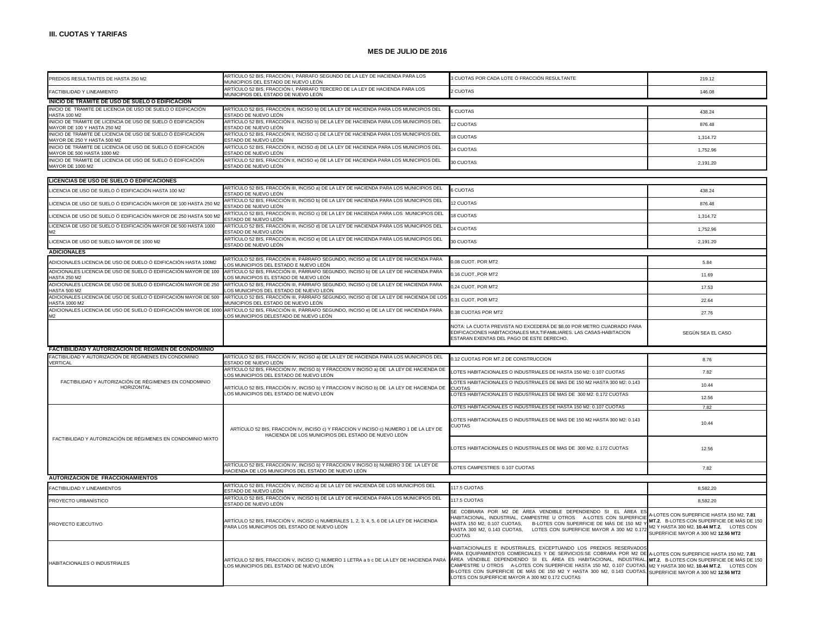| PREDIOS RESULTANTES DE HASTA 250 M2                                                        | ARTÍCULO 52 BIS, FRACCIÓN I, PÁRRAFO SEGUNDO DE LA LEY DE HACIENDA PARA LOS                                                                 | 3 CUOTAS POR CADA LOTE Ó FRACCIÓN RESULTANTE                                                                                                                                                                                                                                                                                                                                                                                                                                                                                                                                        | 219.12                                                                                                                                                                     |
|--------------------------------------------------------------------------------------------|---------------------------------------------------------------------------------------------------------------------------------------------|-------------------------------------------------------------------------------------------------------------------------------------------------------------------------------------------------------------------------------------------------------------------------------------------------------------------------------------------------------------------------------------------------------------------------------------------------------------------------------------------------------------------------------------------------------------------------------------|----------------------------------------------------------------------------------------------------------------------------------------------------------------------------|
| FACTIBILIDAD Y LINEAMIENTO                                                                 | MUNICIPIOS DEL ESTADO DE NUEVO LEÓN<br>ARTÍCULO 52 BIS, FRACCIÓN I, PÁRRAFO TERCERO DE LA LEY DE HACIENDA PARA LOS                          | 2 CUOTAS                                                                                                                                                                                                                                                                                                                                                                                                                                                                                                                                                                            | 146.08                                                                                                                                                                     |
| INICIO DE TRAMITE DE USO DE SUELO O EDIFICACION                                            | MUNICIPIOS DEL ESTADO DE NUEVO LEÓN                                                                                                         |                                                                                                                                                                                                                                                                                                                                                                                                                                                                                                                                                                                     |                                                                                                                                                                            |
| INICIO DE TRAMITE DE LICENCIA DE USO DE SUELO O EDIFICACIÓN                                | ARTÍCULO 52 BIS, FRACCIÓN II, INCISO b) DE LA LEY DE HACIENDA PARA LOS MUNICIPIOS DEL                                                       |                                                                                                                                                                                                                                                                                                                                                                                                                                                                                                                                                                                     |                                                                                                                                                                            |
| <b>HASTA 100 M2</b>                                                                        | STADO DE NUEVO LEÓN                                                                                                                         | 6 CUOTAS                                                                                                                                                                                                                                                                                                                                                                                                                                                                                                                                                                            | 438.24                                                                                                                                                                     |
| INICIO DE TRÁMITE DE LICENCIA DE USO DE SUELO Ó EDIFICACIÓN<br>MAYOR DE 100 Y HASTA 250 M2 | ARTÍCULO 52 BIS, FRACCIÓN II, INCISO b) DE LA LEY DE HACIENDA PARA LOS MUNICIPIOS DEL<br>STADO DE NUEVO LEÓN                                | 12 CUOTAS                                                                                                                                                                                                                                                                                                                                                                                                                                                                                                                                                                           | 876.48                                                                                                                                                                     |
| INICIO DE TRÁMITE DE LICENCIA DE USO DE SUELO Ó EDIFICACIÓN<br>MAYOR DE 250 Y HASTA 500 M2 | ARTÍCULO 52 BIS, FRACCIÓN II, INCISO c) DE LA LEY DE HACIENDA PARA LOS MUNICIPIOS DEL<br>STADO DE NUEVO LEÓN                                | <b>8 CUOTAS</b>                                                                                                                                                                                                                                                                                                                                                                                                                                                                                                                                                                     | 1,314.72                                                                                                                                                                   |
| INICIO DE TRÁMITE DE LICENCIA DE USO DE SUELO Ó EDIFICACIÓN<br>MAYOR DE 500 HASTA 1000 M2  | ARTÍCULO 52 BIS, FRACCIÓN II, INCISO d) DE LA LEY DE HACIENDA PARA LOS MUNICIPIOS DEL<br>STADO DE NUEVO LEÓN                                | 24 CUOTAS                                                                                                                                                                                                                                                                                                                                                                                                                                                                                                                                                                           | 1,752.96                                                                                                                                                                   |
| INICIO DE TRÁMITE DE LICENCIA DE USO DE SUELO Ó EDIFICACIÓN<br>MAYOR DE 1000 M2            | ARTÍCULO 52 BIS, FRACCIÓN II, INCISO e) DE LA LEY DE HACIENDA PARA LOS MUNICIPIOS DEL<br>ESTADO DE NUEVO LEÓN                               | 30 CUOTAS                                                                                                                                                                                                                                                                                                                                                                                                                                                                                                                                                                           | 2,191.20                                                                                                                                                                   |
|                                                                                            |                                                                                                                                             |                                                                                                                                                                                                                                                                                                                                                                                                                                                                                                                                                                                     |                                                                                                                                                                            |
| LICENCIAS DE USO DE SUELO O EDIFICACIONES                                                  | ARTÍCULO 52 BIS, FRACCIÓN III, INCISO a) DE LA LEY DE HACIENDA PARA LOS MUNICIPIOS DEL                                                      |                                                                                                                                                                                                                                                                                                                                                                                                                                                                                                                                                                                     |                                                                                                                                                                            |
| LICENCIA DE USO DE SUELO Ó EDIFICACIÓN HASTA 100 M2                                        | ESTADO DE NUEVO LEÓN                                                                                                                        | 6 CUOTAS                                                                                                                                                                                                                                                                                                                                                                                                                                                                                                                                                                            | 438.24                                                                                                                                                                     |
| LICENCIA DE USO DE SUELO Ó EDIFICACIÓN MAYOR DE 100 HASTA 250 M2                           | ARTÍCULO 52 BIS, FRACCIÓN III, INCISO b) DE LA LEY DE HACIENDA PARA LOS MUNICIPIOS DEL<br>STADO DE NUEVO LEÓN                               | <b>2 CUOTAS</b>                                                                                                                                                                                                                                                                                                                                                                                                                                                                                                                                                                     | 876.48                                                                                                                                                                     |
| LICENCIA DE USO DE SUELO Ó EDIFICACIÓN MAYOR DE 250 HASTA 500 M2                           | ARTÍCULO 52 BIS, FRACCIÓN III, INCISO c) DE LA LEY DE HACIENDA PARA LOS MUNICIPIOS DEL<br>ESTADO DE NUEVO LEÓN                              | 18 CUOTAS                                                                                                                                                                                                                                                                                                                                                                                                                                                                                                                                                                           | 1,314.72                                                                                                                                                                   |
| LICENCIA DE USO DE SUELO Ó EDIFICACIÓN MAYOR DE 500 HASTA 1000                             | ARTÍCULO 52 BIS, FRACCIÓN III, INCISO d) DE LA LEY DE HACIENDA PARA LOS MUNICIPIOS DEL<br>STADO DE NUEVO LEÓN                               | 24 CUOTAS                                                                                                                                                                                                                                                                                                                                                                                                                                                                                                                                                                           | 1.752.96                                                                                                                                                                   |
| LICENCIA DE USO DE SUELO MAYOR DE 1000 M2                                                  | ARTÍCULO 52 BIS, FRACCIÓN III, INCISO e) DE LA LEY DE HACIENDA PARA LOS MUNICIPIOS DEL<br>ESTADO DE NUEVO LEÓN                              | 30 CUOTAS                                                                                                                                                                                                                                                                                                                                                                                                                                                                                                                                                                           | 2,191.20                                                                                                                                                                   |
| <b>ADICIONALES</b>                                                                         |                                                                                                                                             |                                                                                                                                                                                                                                                                                                                                                                                                                                                                                                                                                                                     |                                                                                                                                                                            |
| ADICIONALES LICENCIA DE USO DE DUELO Ó EDIFICACIÓN HASTA 100M2                             | ARTÍCULO 52 BIS, FRACCIÓN III, PÁRRAFO SEGUNDO, INCISO a) DE LA LEY DE HACIENDA PARA                                                        | 0.08 CUOT. POR MT2                                                                                                                                                                                                                                                                                                                                                                                                                                                                                                                                                                  | 5.84                                                                                                                                                                       |
| ADICIONALES LICENCIA DE USO DE SUELO Ó EDIFICACIÓN MAYOR DE 100                            | OS MUNICIPIOS DEL ESTADO E NUEVO LEÓN<br>ARTÍCULO 52 BIS, FRACCIÓN III, PÁRRAFO SEGUNDO, INCISO b) DE LA LEY DE HACIENDA PARA               | 0.16 CUOT., POR MT2                                                                                                                                                                                                                                                                                                                                                                                                                                                                                                                                                                 | 11.69                                                                                                                                                                      |
| <b>HASTA 250 M2</b><br>ADICIONALES LICENCIA DE USO DE SUELO Ó EDIFICACIÓN MAYOR DE 250     | LOS MUNICIPIOS EL ESTADO DE NUEVO LEÓN<br>ARTÍCULO 52 BIS, FRACCIÓN III, PÁRRAFO SEGUNDO, INCISO c) DE LA LEY DE HACIENDA PARA              |                                                                                                                                                                                                                                                                                                                                                                                                                                                                                                                                                                                     |                                                                                                                                                                            |
| <b>HASTA 500 M2</b><br>ADICIONALES LICENCIA DE USO DE SUELO Ó EDIFICACIÓN MAYOR DE 500     | OS MUNICIPIOS DEL ESTADO DE NUEVO LEÓN<br>ARTÍCULO 52 BIS, FRACCIÓN III, PÁRRAFO SEGUNDO, INCISO d) DE LA LEY DE HACIENDA DE LOS            | 0.24 CUOT. POR MT2                                                                                                                                                                                                                                                                                                                                                                                                                                                                                                                                                                  | 17.53                                                                                                                                                                      |
| HASTA 1000 M2<br>ADICIONALES LICENCIA DE USO DE SUELO Ó EDIFICACIÓN MAYOR DE 100           | IUNICIPIOS DEL ESTADO DE NUEVO LEÓN                                                                                                         | 0.31 CUOT. POR MT2                                                                                                                                                                                                                                                                                                                                                                                                                                                                                                                                                                  | 22.64                                                                                                                                                                      |
|                                                                                            | ARTÍCULO 52 BIS, FRACCIÓN III, PÁRRAFO SEGUNDO, INCISO e) DE LA LEY DE HACIENDA PARA<br>OS MUNICIPIOS DELESTADO DE NUEVO LEÓN               | 0.38 CUOTAS POR MT2                                                                                                                                                                                                                                                                                                                                                                                                                                                                                                                                                                 | 27.76                                                                                                                                                                      |
|                                                                                            |                                                                                                                                             | NOTA: LA CUOTA PREVISTA NO EXCEDERÁ DE \$8.00 POR METRO CUADRADO PARA<br>EDIFICACIONES HABITACIONALES MULTIFAMILIARES. LAS CASAS-HABITACION<br>ESTARAN EXENTAS DEL PAGO DE ESTE DERECHO.                                                                                                                                                                                                                                                                                                                                                                                            | SEGÚN SEA EL CASO                                                                                                                                                          |
| FACTIBILIDAD Y AUTORIZACION DE REGIMEN DE CONDOMINIO                                       |                                                                                                                                             |                                                                                                                                                                                                                                                                                                                                                                                                                                                                                                                                                                                     |                                                                                                                                                                            |
| FACTIBILIDAD Y AUTORIZACIÓN DE RÉGIMENES EN CONDOMINIO<br>VERTICAL                         | ARTÍCULO 52 BIS, FRACCIÓN IV, INCISO a) DE LA LEY DE HACIENDA PARA LOS MUNICIPIOS DEL<br>STADO DE NUEVO LEÓN                                | 0.12 CUOTAS POR MT.2 DE CONSTRUCCION                                                                                                                                                                                                                                                                                                                                                                                                                                                                                                                                                | 8.76                                                                                                                                                                       |
|                                                                                            | ARTÍCULO 52 BIS, FRACCIÓN IV, INCISO b) Y FRACCION V INCISO a) DE LA LEY DE HACIENDA DE                                                     | LOTES HABITACIONALES O INDUSTRIALES DE HASTA 150 M2: 0.107 CUOTAS                                                                                                                                                                                                                                                                                                                                                                                                                                                                                                                   | 7.82                                                                                                                                                                       |
| FACTIBILIDAD Y AUTORIZACIÓN DE RÉGIMENES EN CONDOMINIO                                     | OS MUNICIPIOS DEL ESTADO DE NUEVO LEÓN                                                                                                      | LOTES HABITACIONALES O INDUSTRIALES DE MAS DE 150 M2 HASTA 300 M2: 0.143                                                                                                                                                                                                                                                                                                                                                                                                                                                                                                            |                                                                                                                                                                            |
| <b>HORIZONTAL</b>                                                                          | ARTÍCULO 52 BIS, FRACCIÓN IV, INCISO b) Y FRACCION V INCISO b) DE LA LEY DE HACIENDA DE<br>LOS MUNICIPIOS DEL ESTADO DE NUEVO LEÓN          | <b>CUOTAS</b><br>LOTES HABITACIONALES O INDUSTRIALES DE MAS DE 300 M2: 0.172 CUOTAS                                                                                                                                                                                                                                                                                                                                                                                                                                                                                                 | 10.44                                                                                                                                                                      |
|                                                                                            |                                                                                                                                             |                                                                                                                                                                                                                                                                                                                                                                                                                                                                                                                                                                                     | 12.56                                                                                                                                                                      |
|                                                                                            |                                                                                                                                             | LOTES HABITACIONALES O INDUSTRIALES DE HASTA 150 M2: 0.107 CUOTAS                                                                                                                                                                                                                                                                                                                                                                                                                                                                                                                   | 7.82                                                                                                                                                                       |
|                                                                                            | ARTÍCULO 52 BIS, FRACCIÓN IV, INCISO c) Y FRACCION V INCISO c) NUMERO 1 DE LA LEY DE<br>HACIENDA DE LOS MUNICIPIOS DEL ESTADO DE NUEVO LEÓN | LOTES HABITACIONALES O INDUSTRIALES DE MAS DE 150 M2 HASTA 300 M2: 0.143<br><b>CUOTAS</b>                                                                                                                                                                                                                                                                                                                                                                                                                                                                                           | 10.44                                                                                                                                                                      |
| FACTIBILIDAD Y AUTORIZACIÓN DE RÉGIMENES EN CONDOMINIO MIXTO                               |                                                                                                                                             | LOTES HABITACIONALES O INDUSTRIALES DE MAS DE 300 M2: 0.172 CUOTAS                                                                                                                                                                                                                                                                                                                                                                                                                                                                                                                  | 12.56                                                                                                                                                                      |
|                                                                                            | ARTÍCULO 52 BIS, FRACCIÓN IV, INCISO b) Y FRACCION V INCISO b) NUMERO 3 DE LA LEY DE<br>ACIENDA DE LOS MUNICIPIOS DEL ESTADO DE NUEVO LEÓN  | LOTES CAMPESTRES: 0.107 CUOTAS                                                                                                                                                                                                                                                                                                                                                                                                                                                                                                                                                      | 7.82                                                                                                                                                                       |
| <b>AUTORIZACION DE FRACCIONAMIENTOS</b>                                                    |                                                                                                                                             |                                                                                                                                                                                                                                                                                                                                                                                                                                                                                                                                                                                     |                                                                                                                                                                            |
| FACTIBILIDAD Y LINFAMIENTOS                                                                | ARTÍCULO 52 BIS, FRACCIÓN V, INCISO a) DE LA LEY DE HACIENDA DE LOS MUNICIPIOS DEL<br>STADO DE NUEVO LEÓN                                   | 117.5 CUOTAS                                                                                                                                                                                                                                                                                                                                                                                                                                                                                                                                                                        | 8.582.20                                                                                                                                                                   |
| PROYECTO URBANÍSTICO                                                                       | ARTÍCULO 52 BIS, FRACCIÓN V, INCISO b) DE LA LEY DE HACIENDA PARA LOS MUNICIPIOS DEL<br>STADO DE NUEVO LEÓN                                 | 117.5 CUOTAS                                                                                                                                                                                                                                                                                                                                                                                                                                                                                                                                                                        | 8,582.20                                                                                                                                                                   |
| PROYECTO EJECUTIVO                                                                         | ARTÍCULO 52 BIS, FRACCIÓN V, INCISO c) NUMERALES 1, 2, 3, 4, 5, 6 DE LA LEY DE HACIENDA<br>PARA LOS MUNICIPIOS DEL ESTADO DE NUEVO LEÓN     | SE COBRARA POR M2 DE ÁREA VENDIBLE DEPENDIENDO SI EL ÁREA ES<br>HABITACIONAL, INDUSTRIAL, CAMPESTRE U OTROS A-LOTES CON SUPERFICIE<br>HASTA 150 M2, 0.107 CUOTAS.<br>B-LOTES CON SUPERFICIE DE MÁS DE 150 M2 Y<br>HASTA 300 M2, 0.143 CUOTAS,<br>LOTES CON SUPERFICIE MAYOR A 300 M2 0.172<br><b>CUOTAS</b>                                                                                                                                                                                                                                                                         | 1-LOTES CON SUPERFICIE HASTA 150 M2, 7.81<br>MT.2. B-LOTES CON SUPERFICIE DE MÁS DE 150<br>M2 Y HASTA 300 M2, 10.44 MT.2, LOTES CON<br>SUPERFICIE MAYOR A 300 M2 12.56 MT2 |
| HABITACIONALES O INDUSTRIALES                                                              | ARTÍCULO 52 BIS, FRACCION V, INCISO C) NUMERO 1 LETRA a b c DE LA LEY DE HACIENDA PARA<br>OS MUNICIPIOS DEL ESTADO DE NUEVO LEÓN            | HABITACIONALES E INDUSTRIALES, EXCEPTUANDO LOS PREDIOS RESERVADOS<br>PARA EQUIPAMIENTOS COMERCIALES Y DE SERVICIOS:SE COBRARA POR M2 DE A-LOTES CON SUPERFICIE HASTA 150 M2, 7.81<br>ÁREA VENDIBLE DEPENDIENDO SI EL ÁREA ES HABITACIONAL, INDUSTRIAL, MT.2, B-LOTES CON SUPERFICIE DE MÁS DE 150<br>CAMPESTRE U OTROS A-LOTES CON SUPERFICIE HASTA 150 M2, 0.107 CUOTAS, M2 Y HASTA 300 M2, 10.44 MT.2, LOTES CON<br>B-LOTES CON SUPERFICIE DE MÁS DE 150 M2 Y HASTA 300 M2, 0.143 CUOTAS, SUPERFICIE MAYOR A 300 M2 12.56 MT2<br>LOTES CON SUPERFICIE MAYOR A 300 M2 0.172 CUOTAS |                                                                                                                                                                            |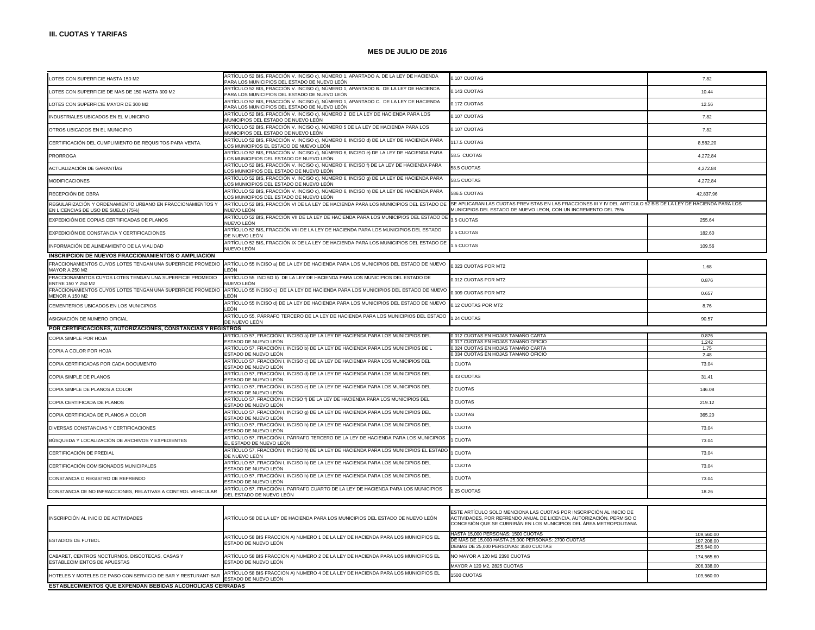| LOTES CON SUPERFICIE HASTA 150 M2                                                                | ARTÍCULO 52 BIS, FRACCIÓN V. INCISO c), NÚMERO 1, APARTADO A. DE LA LEY DE HACIENDA<br>PARA LOS MUNICIPIOS DEL ESTADO DE NUEVO LEÓN | 0.107 CUOTAS                                                                                                                                                                                                      | 7.82                     |
|--------------------------------------------------------------------------------------------------|-------------------------------------------------------------------------------------------------------------------------------------|-------------------------------------------------------------------------------------------------------------------------------------------------------------------------------------------------------------------|--------------------------|
| LOTES CON SUPERFICIE DE MAS DE 150 HASTA 300 M2                                                  | ARTÍCULO 52 BIS, FRACCIÓN V. INCISO c), NÚMERO 1, APARTADO B. DE LA LEY DE HACIENDA<br>PARA LOS MUNICIPIOS DEL ESTADO DE NUEVO LEÓN | 0.143 CUOTAS                                                                                                                                                                                                      | 10.44                    |
| LOTES CON SUPERFICIE MAYOR DE 300 M2                                                             | ARTÍCULO 52 BIS, FRACCIÓN V. INCISO c), NÚMERO 1, APARTADO C. DE LA LEY DE HACIENDA<br>PARA LOS MUNICIPIOS DEL ESTADO DE NUEVO LEÓN | 0.172 CUOTAS                                                                                                                                                                                                      | 12.56                    |
| INDUSTRIALES UBICADOS EN EL MUNICIPIO                                                            | ARTÍCULO 52 BIS, FRACCIÓN V. INCISO c), NÚMERO 2 DE LA LEY DE HACIENDA PARA LOS<br>MUNICIPIOS DEL ESTADO DE NUEVO LEÓN              | 0.107 CUOTAS                                                                                                                                                                                                      | 7.82                     |
| OTROS UBICADOS EN EL MUNICIPIO                                                                   | ARTÍCULO 52 BIS, FRACCIÓN V. INCISO c), NÚMERO 5 DE LA LEY DE HACIENDA PARA LOS<br>MUNICIPIOS DEL ESTADO DE NUEVO LEÓN              | 0.107 CUOTAS                                                                                                                                                                                                      | 7.82                     |
| CERTIFICACIÓN DEL CUMPLIMIENTO DE REQUSITOS PARA VENTA.                                          | ARTÍCULO 52 BIS, FRACCIÓN V. INCISO c), NÚMERO 6, INCISO d) DE LA LEY DE HACIENDA PARA<br>OS MUNICIPIOS EL ESTADO DE NUEVO LEÓN.    | 117.5 CUOTAS                                                                                                                                                                                                      | 8,582.20                 |
| <b>PRORROGA</b>                                                                                  | ARTÍCULO 52 BIS, FRACCIÓN V. INCISO c), NÚMERO 6, INCISO e) DE LA LEY DE HACIENDA PARA<br>OS MUNICIPIOS DEL ESTADO DE NUEVO LEÓN    | 58.5 CUOTAS                                                                                                                                                                                                       | 4,272.84                 |
| ACTUALIZACIÓN DE GARANTÍAS                                                                       | ARTÍCULO 52 BIS, FRACCIÓN V. INCISO c), NÚMERO 6, INCISO f) DE LA LEY DE HACIENDA PARA<br>OS MUNICIPIOS DEL ESTADO DE NUEVO LEÓN    | 58.5 CUOTAS                                                                                                                                                                                                       | 4.272.84                 |
| <b>MODIFICACIONES</b>                                                                            | ARTÍCULO 52 BIS, FRACCIÓN V. INCISO c), NÚMERO 6, INCISO 9) DE LA LEY DE HACIENDA PARA<br>OS MUNICIPIOS DEL ESTADO DE NUEVO LEÓN.   | 58.5 CUOTAS                                                                                                                                                                                                       | 4.272.84                 |
| RECEPCIÓN DE OBRA                                                                                | ARTÍCULO 52 BIS, FRACCIÓN V. INCISO c), NÚMERO 6, INCISO h) DE LA LEY DE HACIENDA PARA<br>OS MUNICIPIOS DEL ESTADO DE NUEVO LEÓN    | 586.5 CUOTAS                                                                                                                                                                                                      | 42.837.96                |
| REGULARIZACIÓN Y ORDENAMIENTO URBANO EN FRACCIONAMIENTOS Y<br>EN LICENCIAS DE USO DE SUELO (75%) | ARTÍCULO 52 BIS, FRACCIÓN VI DE LA LEY DE HACIENDA PARA LOS MUNICIPIOS DEL ESTADO DE<br>NUEVO LEÓN                                  | SE APLICARAN LAS CUOTAS PREVISTAS EN LAS FRACCIONES III Y IV DEL ARTÍCULO 52 BIS DE LA LEY DE HACIENDA PARA LOS<br>MUNICIPIOS DEL ESTADO DE NUEVO LEON, CON UN INCREMENTO DEL 75%                                 |                          |
| EXPEDICIÓN DE COPIAS CERTIFICADAS DE PLANOS                                                      | ARTÍCULO 52 BIS, FRACCIÓN VII DE LA LEY DE HACIENDA PARA LOS MUNICIPIOS DEL ESTADO DE<br>NUEVO LEÓN                                 | 3.5 CUOTAS                                                                                                                                                                                                        | 255.64                   |
| EXPEDICIÓN DE CONSTANCIA Y CERTIFICACIONES                                                       | ARTÍCULO 52 BIS, FRACCIÓN VIII DE LA LEY DE HACIENDA PARA LOS MUNICIPIOS DEL ESTADO<br>DE NUEVO LEÓN                                | 2.5 CUOTAS                                                                                                                                                                                                        | 182.60                   |
| INFORMACIÓN DE ALINEAMIENTO DE LA VIALIDAD                                                       | ARTÍCULO 52 BIS, FRACCIÓN IX DE LA LEY DE HACIENDA PARA LOS MUNICIPIOS DEL ESTADO DE<br>NUEVO LEÓN                                  | .5 CUOTAS                                                                                                                                                                                                         | 109.56                   |
| INSCRIPCION DE NUEVOS FRACCIONAMIENTOS O AMPLIACION                                              |                                                                                                                                     |                                                                                                                                                                                                                   |                          |
| FRACCIONAMIENTOS CUYOS LOTES TENGAN UNA SUPERFICIE PROMEDIO<br>MAYOR A 250 M2                    | ARTÍCULO 55 INCISO a) DE LA LEY DE HACIENDA PARA LOS MUNICIPIOS DEL ESTADO DE NUEVO<br>FÓN                                          | 0.023 CUOTAS POR MT2                                                                                                                                                                                              | 1.68                     |
| FRACCIONAMINTOS CUYOS LOTES TENGAN UNA SUPERFICIE PROMEDIO<br><b>ENTRE 150 Y 250 M2</b>          | ARTÍCULO 55 INCISO b) DE LA LEY DE HACIENDA PARA LOS MUNICIPIOS DEL ESTADO DE<br>IUEVO LEÓN                                         | 0.012 CUOTAS POR MT2                                                                                                                                                                                              | 0.876                    |
| FRACCIONAMIENTOS CUYOS LOTES TENGAN UNA SUPERFICIE PROMEDIO<br>MENOR A 150 M2                    | ARTÍCULO 55 INCISO c) DE LA LEY DE HACIENDA PARA LOS MUNICIPIOS DEL ESTADO DE NUEVO<br>FÓN                                          | 0.009 CUOTAS POR MT2                                                                                                                                                                                              | 0.657                    |
| CEMENTERIOS UBICADOS EN LOS MUNICIPIOS                                                           | ARTÍCULO 55 INCISO d) DE LA LEY DE HACIENDA PARA LOS MUNICIPIOS DEL ESTADO DE NUEVO<br>FÓN                                          | 0.12 CUOTAS POR MT2                                                                                                                                                                                               | 8.76                     |
| ASIGNACIÓN DE NUMERO OFICIAL                                                                     | ARTÍCULO 55, PÁRRAFO TERCERO DE LA LEY DE HACIENDA PARA LOS MUNICIPIOS DEL ESTADO<br>DE NUEVO LEÓN                                  | .24 CUOTAS                                                                                                                                                                                                        | 90.57                    |
| POR CERTIFICACIONES, AUTORIZACIONES, CONSTANCIAS Y REGISTROS                                     |                                                                                                                                     |                                                                                                                                                                                                                   |                          |
|                                                                                                  |                                                                                                                                     |                                                                                                                                                                                                                   |                          |
|                                                                                                  | RTÍCULO 57, FRACCIÓN I, INCISO a) DE LA LEY DE HACIENDA PARA LOS MUNICIPIOS DEL                                                     | .012 CUOTAS EN HOJAS TAMANO CARTA                                                                                                                                                                                 | 0.876                    |
| COPIA SIMPLE POR HOJA                                                                            | ESTADO DE NUEVO LEÓN                                                                                                                | 0.017 CUOTAS EN HOJAS TAMAÑO OFICIO                                                                                                                                                                               | 1.242                    |
| COPIA A COLOR POR HOJA                                                                           | ARTÍCULO 57, FRACCIÓN I, INCISO b) DE LA LEY DE HACIENDA PARA LOS MUNICIPIOS DE L<br>ESTADO DE NUEVO LEÓN                           | 0.024 CUOTAS EN HOJAS TAMAÑO CARTA<br>0.034 CUOTAS EN HOJAS TAMANO OFICIO                                                                                                                                         | 1.75<br>2.48             |
| COPIA CERTIFICADAS POR CADA DOCUMENTO                                                            | ARTÍCULO 57, FRACCIÓN I, INCISO c) DE LA LEY DE HACIENDA PARA LOS MUNICIPIOS DEL<br>ESTADO DE NUEVO LEÓN                            | <b>CUOTA</b>                                                                                                                                                                                                      | 73.04                    |
| COPIA SIMPLE DE PLANOS                                                                           | ARTÍCULO 57, FRACCIÓN I, INCISO d) DE LA LEY DE HACIENDA PARA LOS MUNICIPIOS DEL<br>ESTADO DE NUEVO LEÓN                            | 0.43 CUOTAS                                                                                                                                                                                                       | 31.41                    |
| COPIA SIMPLE DE PLANOS A COLOR                                                                   | ARTÍCULO 57, FRACCIÓN I, INCISO e) DE LA LEY DE HACIENDA PARA LOS MUNICIPIOS DEL<br>ESTADO DE NUEVO LEÓN                            | 2 CUOTAS                                                                                                                                                                                                          | 146.08                   |
| COPIA CERTIFICADA DE PLANOS                                                                      | ARTÍCULO 57, FRACCIÓN I, INCISO f) DE LA LEY DE HACIENDA PARA LOS MUNICIPIOS DEL<br>ESTADO DE NUEVO LEÓN                            | 3 CUOTAS                                                                                                                                                                                                          | 219.12                   |
| COPIA CERTIFICADA DE PLANOS A COLOR                                                              | ARTÍCULO 57, FRACCIÓN I, INCISO g) DE LA LEY DE HACIENDA PARA LOS MUNICIPIOS DEL<br>ESTADO DE NUEVO LEÓN                            | 5 CUOTAS                                                                                                                                                                                                          | 365.20                   |
| DIVERSAS CONSTANCIAS Y CERTIFICACIONES                                                           | ARTÍCULO 57, FRACCIÓN I, INCISO h) DE LA LEY DE HACIENDA PARA LOS MUNICIPIOS DEL<br>ESTADO DE NUEVO LEÓN                            | <b>CUOTA</b>                                                                                                                                                                                                      | 73.04                    |
| BÚSQUEDA Y LOCALIZACIÓN DE ARCHIVOS Y EXPEDIENTES                                                | ARTÍCULO 57, FRACCIÓN I, PÁRRAFO TERCERO DE LA LEY DE HACIENDA PARA LOS MUNICIPIOS<br>L ESTADO DE NUEVO LEÓN                        | <b>CUOTA</b>                                                                                                                                                                                                      | 73.04                    |
| CERTIFICACIÓN DE PREDIAL                                                                         | ARTÍCULO 57, FRACCIÓN I, INCISO h) DE LA LEY DE HACIENDA PARA LOS MUNICIPIOS EL ESTADO<br>DE NUEVO LEÓN                             | <b>CUOTA</b>                                                                                                                                                                                                      | 73.04                    |
| CERTIFICACIÓN COMISIONADOS MUNICIPALES                                                           | ARTÍCULO 57, FRACCIÓN I, INCISO h) DE LA LEY DE HACIENDA PARA LOS MUNICIPIOS DEL<br>ESTADO DE NUEVO LEÓN                            | <b>CUOTA</b>                                                                                                                                                                                                      | 73.04                    |
| CONSTANCIA O REGISTRO DE REFRENDO                                                                | ARTÍCULO 57, FRACCIÓN I, INCISO h) DE LA LEY DE HACIENDA PARA LOS MUNICIPIOS DEL<br>ESTADO DE NUEVO LEÓN                            | <b>CUOTA</b>                                                                                                                                                                                                      | 73.04                    |
| CONSTANCIA DE NO INFRACCIONES, RELATIVAS A CONTROL VEHICULAR                                     | ARTÍCULO 57, FRACCIÓN I, PARRAFO CUARTO DE LA LEY DE HACIENDA PARA LOS MUNICIPIOS<br>DEL ESTADO DE NUEVO LEÓN                       | 0.25 CUOTAS                                                                                                                                                                                                       | 18.26                    |
|                                                                                                  |                                                                                                                                     |                                                                                                                                                                                                                   |                          |
| INSCRIPCIÓN AL INICIO DE ACTIVIDADES                                                             | ARTÍCULO 58 DE LA LEY DE HACIENDA PARA LOS MUNICIPIOS DEL ESTADO DE NUEVO LEÓN                                                      | ESTE ARTÍCULO SOLO MENCIONA LAS CUOTAS POR INSCRIPCIÓN AL INICIO DE<br>ACTIVIDADES, POR REFRENDO ANUAL DE LICENCIA, AUTORIZACIÓN, PERMISO O<br>CONCESIÓN QUE SE CUBRIRÁN EN LOS MUNICIPIOS DEL ÁREA METROPOLITANA |                          |
|                                                                                                  |                                                                                                                                     | HASTA 15,000 PERSONAS: 1500 CUOTAS                                                                                                                                                                                | 109,560.00               |
| <b>ESTADIOS DE FUTBOL</b>                                                                        | ARTÍCULO 58 BIS FRACCION A) NUMERO 1 DE LA LEY DE HACIENDA PARA LOS MUNICIPIOS EL<br>ESTADO DE NUEVO LEÓN                           | DE MAS DE 15,000 HASTA 25,000 PERSONAS: 2700 CUOTAS                                                                                                                                                               | 197.208.00               |
|                                                                                                  |                                                                                                                                     | DEMAS DE 25,000 PERSONAS: 3500 CUOTAS                                                                                                                                                                             | 255,640.00               |
| CABARET, CENTROS NOCTURNOS, DISCOTECAS, CASAS Y<br>ESTABLECIMIENTOS DE APUESTAS                  | ARTÍCULO 58 BIS FRACCION A) NUMERO 2 DE LA LEY DE HACIENDA PARA LOS MUNICIPIOS EL<br>ESTADO DE NUEVO LEÓN                           | NO MAYOR A 120 M2 2390 CUOTAS                                                                                                                                                                                     | 174,565.60<br>206.338.00 |
| HOTELES Y MOTELES DE PASO CON SERVICIO DE BAR Y RESTURANT-BAR                                    | ARTÍCULO 58 BIS FRACCION A) NUMERO 4 DE LA LEY DE HACIENDA PARA LOS MUNICIPIOS EL<br>ESTADO DE NUEVO LEÓN                           | MAYOR A 120 M2, 2825 CUOTAS<br>1500 CUOTAS                                                                                                                                                                        | 109,560.00               |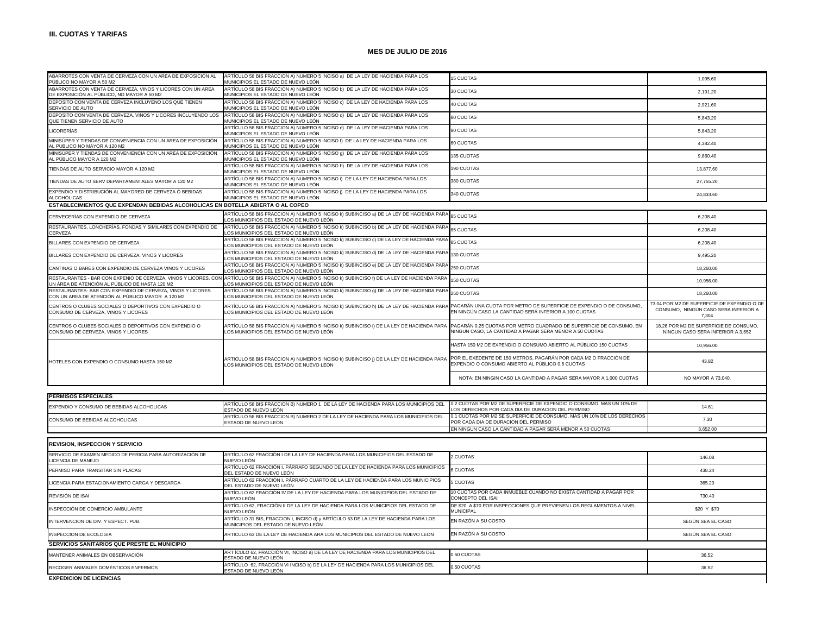| ABARROTES CON VENTA DE CERVEZA CON UN AREA DE EXPOSICIÓN AL<br>PÚBLICO NO MAYOR A 50 M2                         | ARTÍCULO 58 BIS FRACCION A) NUMERO 5 INCISO a) DE LA LEY DE HACIENDA PARA LOS<br>MUNICIPIOS EL ESTADO DE NUEVO LEÓN                                                                                   | <b>15 CUOTAS</b>                                                                                                               | 1,095.60                                                                                     |
|-----------------------------------------------------------------------------------------------------------------|-------------------------------------------------------------------------------------------------------------------------------------------------------------------------------------------------------|--------------------------------------------------------------------------------------------------------------------------------|----------------------------------------------------------------------------------------------|
| ABARROTES CON VENTA DE CERVEZA, VINOS Y LICORES CON UN AREA<br>DE EXPOSICIÓN AL PÚBLICO, NO MAYOR A 50 M2       | ARTÍCULO 58 BIS FRACCION A) NUMERO 5 INCISO b) DE LA LEY DE HACIENDA PARA LOS<br>MUNICIPIOS EL ESTADO DE NUEVO LEÓN                                                                                   | 30 CUOTAS                                                                                                                      | 2,191.20                                                                                     |
| DEPOSITO CON VENTA DE CERVEZA INCLUYENO LOS QUE TIENEN<br>SERVICIO DE AUTO                                      | ARTÍCULO 58 BIS FRACCION A) NUMERO 5 INCISO c) DE LA LEY DE HACIENDA PARA LOS<br>MUNICIPIOS EL ESTADO DE NUEVO LEÓN                                                                                   | 40 CUOTAS                                                                                                                      | 2,921.60                                                                                     |
| DEPOSITO CON VENTA DE CERVEZA, VINOS Y LICORES INCLUYENDO LOS<br>QUE TIENEN SERVICIO DE AUTO                    | ARTÍCULO 58 BIS FRACCION A) NUMERO 5 INCISO d) DE LA LEY DE HACIENDA PARA LOS<br>MUNICIPIOS EL ESTADO DE NUEVO LEÓN                                                                                   | 80 CUOTAS                                                                                                                      | 5,843.20                                                                                     |
| <b>LICORERÍAS</b>                                                                                               | ARTÍCULO 58 BIS FRACCION A) NUMERO 5 INCISO e) DE LA LEY DE HACIENDA PARA LOS<br>MUNICIPIOS EL ESTADO DE NUEVO LEÓN                                                                                   | 80 CUOTAS                                                                                                                      | 5,843.20                                                                                     |
| MINISÚPER Y TIENDAS DE CONVENIENCIA CON UN AREA DE EXPOSICIÓN<br>AL PUBLICO NO MAYOR A 120 M2                   | ARTÍCULO 58 BIS FRACCION A) NUMERO 5 INCISO f) DE LA LEY DE HACIENDA PARA LOS<br>MUNICIPIOS EL ESTADO DE NUEVO LEÓN                                                                                   | 60 CUOTAS                                                                                                                      | 4.382.40                                                                                     |
| MINISÚPER Y TIENDAS DE CONVENIENCIA CON UN AREA DE EXPOSICIÓN<br>AL PÚBLICO MAYOR A 120 M2                      | ARTÍCULO 58 BIS FRACCION A) NUMERO 5 INCISO q) DE LA LEY DE HACIENDA PARA LOS<br>MUNICIPIOS EL ESTADO DE NUEVO LEÓN                                                                                   | 135 CUOTAS                                                                                                                     | 9,860.40                                                                                     |
| TIENDAS DE AUTO SERVICIO MAYOR A 120 M2                                                                         | ARTÍCULO 58 BIS FRACCION A) NUMERO 5 INCISO h) DE LA LEY DE HACIENDA PARA LOS<br>MUNICIPIOS EL ESTADO DE NUEVO LEÓN                                                                                   | 190 CUOTAS                                                                                                                     | 13,877.60                                                                                    |
| TIENDAS DE AUTO SERV DEPARTAMENTALES MAYOR A 120 M2                                                             | ARTÍCULO 58 BIS FRACCION A) NUMERO 5 INCISO i) DE LA LEY DE HACIENDA PARA LOS<br>MUNICIPIOS EL ESTADO DE NUEVO LEÓN                                                                                   | 380 CUOTAS                                                                                                                     | 27,755.20                                                                                    |
| EXPENDIO Y DISTRIBUCIÓN AL MAYOREO DE CERVEZA Ó BEBIDAS<br>ALCOHÓLICAS                                          | ARTÍCULO 58 BIS FRACCION A) NUMERO 5 INCISO ¡) DE LA LEY DE HACIENDA PARA LOS<br>MUNICIPIOS EL ESTADO DE NUEVO LEÓN                                                                                   | 340 CUOTAS                                                                                                                     | 24,833.60                                                                                    |
| ESTABLECIMIENTOS QUE EXPENDAN BEBIDAS ALCOHOLICAS EN BOTELLA ABIERTA O AL COPEO                                 |                                                                                                                                                                                                       |                                                                                                                                |                                                                                              |
| CERVECERÍAS CON EXPENDIO DE CERVEZA                                                                             | ARTÍCULO 58 BIS FRACCION A) NUMERO 5 INCISO k) SUBINCISO a) DE LA LEY DE HACIENDA PARA<br>OS MUNICIPIOS DEL ESTADO DE NUEVO LEÓN                                                                      | <b>35 CUOTAS</b>                                                                                                               | 6.208.40                                                                                     |
| RESTAURANTES, LONCHERÍAS, FONDAS Y SIMILARES CON EXPENDIO DE<br>CERVEZA                                         | ARTÍCULO 58 BIS FRACCION A) NUMERO 5 INCISO K) SUBINCISO b) DE LA LEY DE HACIENDA PARA<br>OS MUNICIPIOS DEL ESTADO DE NUEVO LEÓN                                                                      | 85 CUOTAS                                                                                                                      | 6,208.40                                                                                     |
| BILLARES CON EXPENDIO DE CERVEZA                                                                                | ARTÍCULO 58 BIS FRACCION A) NUMERO 5 INCISO k) SUBINCISO c) DE LA LEY DE HACIENDA PAR.<br>LOS MUNICIPIOS DEL ESTADO DE NUEVO LEÓN                                                                     | 85 CUOTAS                                                                                                                      | 6,208.40                                                                                     |
| BILLARES CON EXPENDIO DE CERVEZA. VINOS Y LICORES                                                               | ARTÍCULO 58 BIS FRACCION A) NUMERO 5 INCISO k) SUBINCISO d) DE LA LEY DE HACIENDA PARA<br>LOS MUNICIPIOS DEL ESTADO DE NUEVO LEÓN                                                                     | 130 CUOTAS                                                                                                                     | 9,495.20                                                                                     |
| CANTINAS O BARES CON EXPENDIO DE CERVEZA VINOS Y LICORES                                                        | ARTÍCULO 58 BIS FRACCION A) NUMERO 5 INCISO k) SUBINCISO e) DE LA LEY DE HACIENDA PARA<br>OS MUNICIPIOS DEL ESTADO DE NUEVO LEÓN                                                                      | 250 CUOTAS                                                                                                                     | 18,260.00                                                                                    |
| UN ÁREA DE ATENCIÓN AL PÚBLICO DE HASTA 120 M2                                                                  | RESTAURANTES - BAR CON EXPENIO DE CERVEZA, VINOS Y LICORES, CON ARTÍCULO 58 BIS FRACCION A) NUMERO 5 INCISO k) SUBINCISO f) DE LA LEY DE HACIENDA PAR.<br>LOS MUNICIPIOS DEL ESTADO DE NUEVO LEÓN     | 150 CUOTAS                                                                                                                     | 10.956.00                                                                                    |
| RESTAURANTES- BAR CON EXPENDIO DE CERVEZA, VINOS Y LICORES<br>CON UN AREA DE ATENCIÓN AL PÚBLICO MAYOR A 120 M2 | ARTÍCULO 58 BIS FRACCION A) NUMERO 5 INCISO k) SUBINCISO g) DE LA LEY DE HACIENDA PARA<br>OS MUNICIPIOS DEL ESTADO DE NUEVO LEÓN                                                                      | 250 CUOTAS                                                                                                                     | 18,260.00                                                                                    |
| CENTROS O CLUBES SOCIALES O DEPORTIVOS CON EXPENDIO O<br>CONSUMO DE CERVEZA, VINOS Y LICORES                    | ARTÍCULO 58 BIS FRACCION A) NUMERO 5 INCISO k) SUBINCISO h) DE LA LEY DE HACIENDA PARA PAGARÁN UNA CUOTA POR METRO DE SUPERFICIE DE EXPENDIO O DE CONSUMO,<br>LOS MUNICIPIOS DEL ESTADO DE NUEVO LEÓN | EN NINGÚN CASO LA CANTIDAD SERÁ INFERIOR A 100 CUOTAS                                                                          | 73.04 POR M2 DE SUPERFICIE DE EXPENDIO O DE<br>CONSUMO. NINGUN CASO SERA INFERIOR A<br>7.304 |
| CENTROS O CLUBES SOCIALES O DEPORTIVOS CON EXPENDIO O<br>CONSUMO DE CERVEZA, VINOS Y LICORES                    | ARTÍCULO 58 BIS FRACCION A) NUMERO 5 INCISO k) SUBINCISO i) DE LA LEY DE HACIENDA PARA<br>LOS MUNICIPIOS DEL ESTADO DE NUEVO LEÓN                                                                     | PAGARÁN 0.25 CUOTAS POR METRO CUADRADO DE SUPERFICIE DE CONSUMO, EN<br>NINGUN CASO, LA CANTIDAD A PAGAR SERA MENOR A 50 CUOTAS | 18.26 POR M2 DE SUPERFICIE DE CONSUMO,<br>NINGUN CASO SERA INFERIOR A 3,652                  |
|                                                                                                                 |                                                                                                                                                                                                       | HASTA 150 M2 DE EXPENDIO O CONSUMO ABIERTO AL PÚBLICO 150 CUOTAS                                                               | 10,956.00                                                                                    |
| HOTELES CON EXPENDIO O CONSUMO HASTA 150 M2                                                                     | ARTICULO 58 BIS FRACCION A) NUMERO 5 INCISO k) SUBINCISO ¡) DE LA LEY DE HACIENDA PARA<br>LOS MUNICIPIOS DEL ESTADO DE NUEVO LEON                                                                     | POR EL EXEDENTE DE 150 METROS, PAGARÁN POR CADA M2 O FRACCIÓN DE<br>EXPENDIO O CONSUMO ABIERTO AL PÚBLICO 0.6 CUOTAS           | 43.82                                                                                        |
|                                                                                                                 |                                                                                                                                                                                                       | NOTA: EN NINGIN CASO LA CANTIDAD A PAGAR SERA MAYOR A 1,000 CUOTAS                                                             | NO MAYOR A 73,040.                                                                           |
|                                                                                                                 |                                                                                                                                                                                                       |                                                                                                                                |                                                                                              |
| <b>PERMISOS ESPECIALES</b>                                                                                      |                                                                                                                                                                                                       |                                                                                                                                |                                                                                              |
| EXPENDIO Y CONSUMO DE BEBIDAS ALCOHOLICAS                                                                       | ARTÍCULO 58 BIS FRACCION B) NUMERO 1 DE LA LEY DE HACIENDA PARA LOS MUNICIPIOS DEL<br>ESTADO DE NUEVO LEÓN                                                                                            | 0.2 CUOTAS POR M2 DE SUPERFICIE DE EXPENDIO O CONSUMO, MAS UN 10% DE<br>OS DERECHOS POR CADA DIA DE DURACION DEL PERMISO       | 14.61                                                                                        |
| CONSUMO DE BEBIDAS ALCOHOLICAS                                                                                  | ARTÍCULO 58 BIS FRACCION B) NUMERO 2 DE LA LEY DE HACIENDA PARA LOS MUNICIPIOS DEL<br>ESTADO DE NUEVO LEÓN                                                                                            | 0.1 CUOTAS POR M2 SE SUPERFICIE DE CONSUMO, MAS UN 10% DE LOS DERECHOS<br>POR CADA DIA DE DURACION DEL PERMISO                 | 7.30                                                                                         |
|                                                                                                                 |                                                                                                                                                                                                       | EN NINGUN CASO LA CANTIDAD A PAGAR SERÁ MENOR A 50 CUOTAS                                                                      | 3,652.00                                                                                     |
| REVISION, INSPECCION Y SERVICIO                                                                                 |                                                                                                                                                                                                       |                                                                                                                                |                                                                                              |
| SERVICIO DE EXAMEN MEDICO DE PERICIA PARA AUTORIZACIÓN DE<br><b>ICENCIA DE MANEJO</b>                           | ARTÍCULO 62 FRACCIÓN I DE LA LEY DE HACIENDA PARA LOS MUNICIPIOS DEL ESTADO DE<br>NUEVO LEÓN                                                                                                          | 2 CUOTAS                                                                                                                       | 146.08                                                                                       |
| PERMISO PARA TRANSITAR SIN PLACAS                                                                               | ARTÍCULO 62 FRACCIÓN I, PÁRRAFO SEGUNDO DE LA LEY DE HACIENDA PARA LOS MUNICIPIOS<br>DEL ESTADO DE NUEVO LEÓN                                                                                         | 6 CUOTAS                                                                                                                       | 438.24                                                                                       |
| LICENCIA PARA ESTACIONAMIENTO CARGA Y DESCARGA                                                                  | ARTÍCULO 62 FRACCIÓN I, PÁRRAFO CUARTO DE LA LEY DE HACIENDA PARA LOS MUNICIPIOS<br>DEL ESTADO DE NUEVO LEÓN                                                                                          | <b>S CUOTAS</b>                                                                                                                | 365.20                                                                                       |
| REVISIÓN DE ISAI                                                                                                | ARTÍCULO 62 FRACCIÓN IV DE LA LEY DE HACIENDA PARA LOS MUNICIPIOS DEL ESTADO DE<br>NUEVO LEÓN                                                                                                         | 10 CUOTAS POR CADA INMUEBLE CUANDO NO EXISTA CANTIDAD A PAGAR POR<br>CONCEPTO DEL ISAI                                         | 730.40                                                                                       |

| INSPECCIÓN DE COMERCIO AMBULANTE             | ARTÍCULO 62. FRACCIÓN II DE LA LEY DE HACIENDA PARA LOS MUNICIPIOS DEL ESTADO DE<br>NUEVO LEÓN                             | <b>IDE \$20 A \$70 POR INSPECCIONES QUE PREVIENEN LOS REGLAMENTOS A NIVEL</b><br><b>MUNICIPAL</b> | \$20 Y \$70       |
|----------------------------------------------|----------------------------------------------------------------------------------------------------------------------------|---------------------------------------------------------------------------------------------------|-------------------|
| INTERVENCION DE DIV. Y ESPECT. PUB.          | ARTÍCULO 31 BIS, FRACCION I, INCISO d) y ARTÍCULO 63 DE LA LEY DE HACIENDA PARA LOS<br>MUNICIPIOS DEL ESTADO DE NUEVO LEÓN | EN RAZÓN A SU COSTO                                                                               | SEGÚN SEA EL CASO |
| INSPECCION DE ECOLOGIA                       | ARTICULO 63 DE LA LEY DE HACIENDA ARA LOS MUNICIPIOS DEL ESTADO DE NUEVO LEON                                              | EN RAZÓN A SU COSTO                                                                               | SEGÚN SEA EL CASO |
| SERVICIOS SANITARIOS QUE PRESTE EL MUNICIPIO |                                                                                                                            |                                                                                                   |                   |
| MANTENER ANIMALES EN OBSERVACIÓN             | ART ÍCULO 62, FRACCIÓN VI, INCISO a) DE LA LEY DE HACIENDA PARA LOS MUNICIPIOS DEL<br>ESTADO DE NUEVO LEÓN                 | 0.50 CUOTAS                                                                                       | 36.52             |
| RECOGER ANIMALES DOMÉSTICOS ENFERMOS         | ARTÍCULO 62, FRACCIÓN VI INCISO b) DE LA LEY DE HACIENDA PARA LOS MUNICIPIOS DEL<br>ESTADO DE NUEVO LEÓN                   | 0.50 CUOTAS                                                                                       | 36.52             |
| EXPEDICION DE LICENCIAS                      |                                                                                                                            |                                                                                                   |                   |

**EXPEDICION DE LICENCIAS**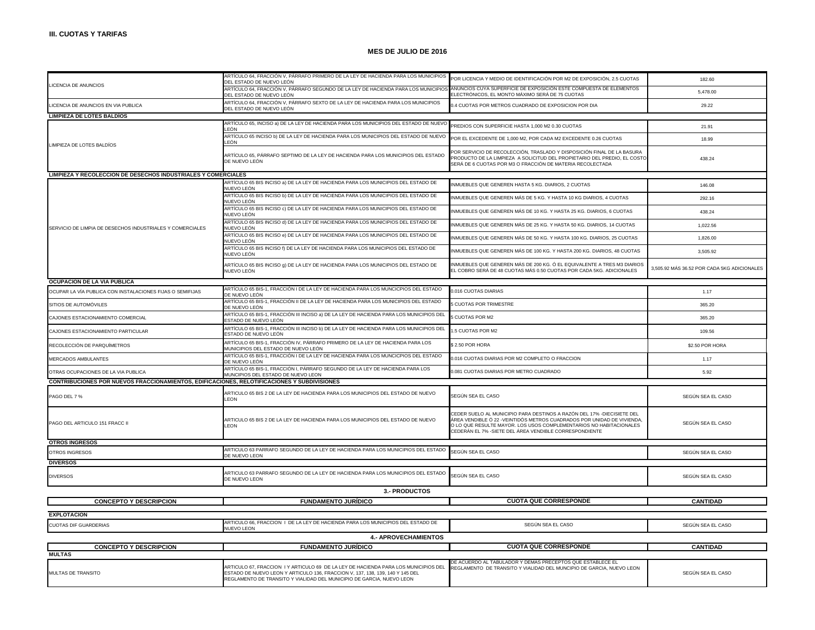$\mathbf{I}$ 

## **MES DE JULIO DE 2016**

|                                                                                             | ARTÍCULO 64, FRACCIÓN V, PÁRRAFO PRIMERO DE LA LEY DE HACIENDA PARA LOS MUNICIPIOS<br>DEL ESTADO DE NUEVO LEÓN                                                                                                                                | POR LICENCIA Y MEDIO DE IDENTIFICACIÓN POR M2 DE EXPOSICIÓN, 2.5 CUOTAS                                                                                                                                                                                                          | 182.60                                      |
|---------------------------------------------------------------------------------------------|-----------------------------------------------------------------------------------------------------------------------------------------------------------------------------------------------------------------------------------------------|----------------------------------------------------------------------------------------------------------------------------------------------------------------------------------------------------------------------------------------------------------------------------------|---------------------------------------------|
| LICENCIA DE ANUNCIOS                                                                        | ARTÍCULO 64, FRACCIÓN V, PÁRRAFO SEGUNDO DE LA LEY DE HACIENDA PARA LOS MUNICIPIOS                                                                                                                                                            | ANUNCIOS CUYA SUPERFICIE DE EXPOSICIÓN ESTE COMPUESTA DE ELEMENTOS                                                                                                                                                                                                               | 5.478.00                                    |
|                                                                                             | DEL ESTADO DE NUEVO LEÓN<br>ARTÍCULO 64, FRACCIÓN V, PÁRRAFO SEXTO DE LA LEY DE HACIENDA PARA LOS MUNICIPIOS                                                                                                                                  | ELECTRÓNICOS, EL MONTO MÁXIMO SERÁ DE 75 CUOTAS                                                                                                                                                                                                                                  |                                             |
| <b>ICENCIA DE ANUNCIOS EN VIA PUBLICA</b>                                                   | DEL ESTADO DE NUEVO LEÓN                                                                                                                                                                                                                      | 4 CUOTAS POR METROS CUADRADO DE EXPOSICION POR DIA                                                                                                                                                                                                                               | 29.22                                       |
| <b>LIMPIEZA DE LOTES BALDIOS</b>                                                            | ARTÍCULO 65, INCISO a) DE LA LEY DE HACIENDA PARA LOS MUNICIPIOS DEL ESTADO DE NUEVO                                                                                                                                                          | PREDIOS CON SUPERFICIE HASTA 1.000 M2 0.30 CUOTAS                                                                                                                                                                                                                                | 21.91                                       |
|                                                                                             | I FÓN<br>ARTÍCULO 65 INCISO b) DE LA LEY DE HACIENDA PARA LOS MUNICIPIOS DEL ESTADO DE NUEVO                                                                                                                                                  |                                                                                                                                                                                                                                                                                  |                                             |
| LIMPIEZA DE LOTES BALDÍOS                                                                   | I FÓN                                                                                                                                                                                                                                         | POR EL EXCEDENTE DE 1,000 M2, POR CADA M2 EXCEDENTE 0.26 CUOTAS                                                                                                                                                                                                                  | 18.99                                       |
|                                                                                             | ARTÍCULO 65, PÁRRAFO SEPTIMO DE LA LEY DE HACIENDA PARA LOS MUNICIPIOS DEL ESTADO<br>DE NUEVO LEÓN                                                                                                                                            | POR SERVICIO DE RECOLECCIÓN, TRASLADO Y DISPOSICIÓN FINAL DE LA BASURA<br>RODUCTO DE LA LIMPIEZA A SOLICITUD DEL PROPIETARIO DEL PREDIO, EL COSTO<br>SERÁ DE 6 CUOTAS POR M3 O FRACCIÓN DE MATERIA RECOLECTADA                                                                   | 438.24                                      |
| <b>LIMPIEZA Y RECOLECCION DE DESECHOS INDUSTRIALES Y COMERCIALES</b>                        |                                                                                                                                                                                                                                               |                                                                                                                                                                                                                                                                                  |                                             |
|                                                                                             | ARTÍCULO 65 BIS INCISO a) DE LA LEY DE HACIENDA PARA LOS MUNICIPIOS DEL ESTADO DE<br>NUEVO LEÓN                                                                                                                                               | NMUEBLES QUE GENEREN HASTA 5 KG. DIARIOS, 2 CUOTAS                                                                                                                                                                                                                               | 146.08                                      |
|                                                                                             | ARTÍCULO 65 BIS INCISO b) DE LA LEY DE HACIENDA PARA LOS MUNICIPIOS DEL ESTADO DE<br>NUEVO LEÓN                                                                                                                                               | NMUEBLES QUE GENEREN MÁS DE 5 KG. Y HASTA 10 KG DIARIOS, 4 CUOTAS                                                                                                                                                                                                                | 292.16                                      |
|                                                                                             | ARTÍCULO 65 BIS INCISO c) DE LA LEY DE HACIENDA PARA LOS MUNICIPIOS DEL ESTADO DE<br>NUEVO LEÓN                                                                                                                                               | NMUEBLES QUE GENEREN MÁS DE 10 KG. Y HASTA 25 KG. DIARIOS, 6 CUOTAS                                                                                                                                                                                                              | 438.24                                      |
| SERVICIO DE LIMPIA DE DESECHOS INDUSTRIALES Y COMERCIALES                                   | ARTÍCULO 65 BIS INCISO d) DE LA LEY DE HACIENDA PARA LOS MUNICIPIOS DEL ESTADO DE<br>NUEVO LEÓN                                                                                                                                               | NMUEBLES QUE GENEREN MÁS DE 25 KG. Y HASTA 50 KG. DIARIOS, 14 CUOTAS                                                                                                                                                                                                             | 1,022.56                                    |
|                                                                                             | ARTÍCULO 65 BIS INCISO e) DE LA LEY DE HACIENDA PARA LOS MUNICIPIOS DEL ESTADO DE<br>NUEVO LEÓN                                                                                                                                               | INMUEBLES QUE GENEREN MÁS DE 50 KG. Y HASTA 100 KG. DIARIOS, 25 CUOTAS                                                                                                                                                                                                           | 1,826.00                                    |
|                                                                                             | ARTÍCULO 65 BIS INCISO f) DE LA LEY DE HACIENDA PARA LOS MUNICIPIOS DEL ESTADO DE<br>NUFVO LEÓN                                                                                                                                               | NMUEBLES QUE GENEREN MÁS DE 100 KG. Y HASTA 200 KG. DIARIOS, 48 CUOTAS                                                                                                                                                                                                           | 3,505.92                                    |
|                                                                                             | ARTÍCULO 65 BIS INCISO g) DE LA LEY DE HACIENDA PARA LOS MUNICIPIOS DEL ESTADO DE<br>NUEVO LEÓN                                                                                                                                               | NMUEBLES QUE GENEREN MÁS DE 200 KG. Ó EL EQUIVALENTE A TRES M3 DIARIOS<br>EL COBRO SERÁ DE 48 CUOTAS MÁS 0.50 CUOTAS POR CADA 5KG. ADICIONALES                                                                                                                                   | 3,505.92 MÁS 36.52 POR CADA 5KG ADICIONALES |
| OCUPACION DE LA VIA PUBLICA                                                                 |                                                                                                                                                                                                                                               |                                                                                                                                                                                                                                                                                  |                                             |
| OCUPAR LA VÍA PUBLICA CON INSTALACIONES FIJAS O SEMIFIJAS                                   | ARTÍCULO 65 BIS-1, FRACCIÓN I DE LA LEY DE HACIENDA PARA LOS MUNCICPIOS DEL ESTADO<br>DE NUEVO LEÓN                                                                                                                                           | 0.016 CUOTAS DIARIAS                                                                                                                                                                                                                                                             | 1.17                                        |
| SITIOS DE AUTOMÓVILES                                                                       | ARTÍCULO 65 BIS-1, FRACCIÓN II DE LA LEY DE HACIENDA PARA LOS MUNICIPIOS DEL ESTADO<br>DE NUEVO LEÓN                                                                                                                                          | <b>CUOTAS POR TRIMESTRE</b>                                                                                                                                                                                                                                                      | 365.20                                      |
| CAJONES ESTACIONAMIENTO COMERCIAL                                                           | ARTÍCULO 65 BIS-1, FRACCIÓN III INCISO a) DE LA LEY DE HACIENDA PARA LOS MUNICIPIOS DEL<br>ESTADO DE NUEVO LEÓN                                                                                                                               | CUOTAS POR M2                                                                                                                                                                                                                                                                    | 365.20                                      |
| CAJONES ESTACIONAMIENTO PARTICULAR                                                          | ARTÍCULO 65 BIS-1, FRACCIÓN III INCISO b) DE LA LEY DE HACIENDA PARA LOS MUNICIPIOS DEL<br>ESTADO DE NUEVO LEÓN                                                                                                                               | .5 CUOTAS POR M2                                                                                                                                                                                                                                                                 | 109.56                                      |
| RECOLECCIÓN DE PARQUÍMETROS                                                                 | ARTÍCULO 65 BIS-1, FRACCIÓN IV, PÁRRAFO PRIMERO DE LA LEY DE HACIENDA PARA LOS<br>MUNICIPIOS DEL ESTADO DE NUEVO LEÓN                                                                                                                         | \$2.50 POR HORA                                                                                                                                                                                                                                                                  | \$2.50 POR HORA                             |
| MERCADOS AMBULANTES                                                                         | ARTÍCULO 65 BIS-1, FRACCIÓN I DE LA LEY DE HACIENDA PARA LOS MUNCICPIOS DEL ESTADO<br>DE NUEVO LEÓN                                                                                                                                           | 0.016 CUOTAS DIARIAS POR M2 COMPLETO O FRACCION                                                                                                                                                                                                                                  | 1.17                                        |
| OTRAS OCUPACIONES DE LA VIA PUBLICA                                                         | ARTÍCULO 65 BIS-1, FRACCIÓN I, PÁRRAFO SEGUNDO DE LA LEY DE HACIENDA PARA LOS<br>MUNCIPIOS DEL ESTADO DE NUEVO LEON                                                                                                                           | 0.081 CUOTAS DIARIAS POR METRO CUADRADO                                                                                                                                                                                                                                          | 5.92                                        |
| CONTRIBUCIONES POR NUEVOS FRACCIONAMIENTOS, EDIFICACIONES, RELOTIFICACIONES Y SUBDIVISIONES |                                                                                                                                                                                                                                               |                                                                                                                                                                                                                                                                                  |                                             |
| PAGO DEL 7 %                                                                                | ARTICULO 65 BIS 2 DE LA LEY DE HACIENDA PARA LOS MUNICIPIOS DEL ESTADO DE NUEVO<br>LEON                                                                                                                                                       | SEGÚN SEA EL CASO                                                                                                                                                                                                                                                                | SEGÚN SEA EL CASO                           |
| PAGO DEL ARTICULO 151 FRACC II                                                              | ARTICULO 65 BIS 2 DE LA LEY DE HACIENDA PARA LOS MUNICIPIOS DEL ESTADO DE NUEVO<br>LEON                                                                                                                                                       | CEDER SUELO AL MUNICIPIO PARA DESTINOS A RAZÓN DEL 17% -DIECISIETE DEL<br>ÁREA VENDIBLE Ó 22 -VEINTIDÓS METROS CUADRADOS POR UNIDAD DE VIVIENDA,<br>O LO QUE RESULTE MAYOR. LOS USOS COMPLEMENTARIOS NO HABITACIONALES<br>CEDERÁN EL 7% -SIETE DEL ÁREA VENDIBLE CORRESPONDIENTE | SEGÚN SEA EL CASO                           |
| <b>OTROS INGRESOS</b>                                                                       | ARTICULO 63 PARRAFO SEGUNDO DE LA LEY DE HACIENDA PARA LOS MUNICIPIOS DEL ESTADO                                                                                                                                                              |                                                                                                                                                                                                                                                                                  |                                             |
| <b>OTROS INGRESOS</b>                                                                       | DE NUEVO LEON                                                                                                                                                                                                                                 | SEGÚN SEA EL CASO                                                                                                                                                                                                                                                                | SEGÚN SEA EL CASO                           |
| <b>DIVERSOS</b>                                                                             |                                                                                                                                                                                                                                               |                                                                                                                                                                                                                                                                                  |                                             |
| <b>DIVERSOS</b>                                                                             | ARTICULO 63 PARRAFO SEGUNDO DE LA LEY DE HACIENDA PARA LOS MUNICIPIOS DEL ESTADO<br>DE NUEVO LEON                                                                                                                                             | SEGÚN SEA EL CASO                                                                                                                                                                                                                                                                | SEGÚN SEA EL CASO                           |
| 3.- PRODUCTOS                                                                               |                                                                                                                                                                                                                                               |                                                                                                                                                                                                                                                                                  |                                             |
| <b>CONCEPTO Y DESCRIPCION</b>                                                               | <b>FUNDAMENTO JURÍDICO</b>                                                                                                                                                                                                                    | <b>CUOTA QUE CORRESPONDE</b>                                                                                                                                                                                                                                                     | <b>CANTIDAD</b>                             |
| <b>EXPLOTACION</b>                                                                          |                                                                                                                                                                                                                                               |                                                                                                                                                                                                                                                                                  |                                             |
| <b>CUOTAS DIF GUARDERIAS</b>                                                                | ARTICULO 66, FRACCION I DE LA LEY DE HACIENDA PARA LOS MUNICIPIOS DEL ESTADO DE<br>NUEVO LEON                                                                                                                                                 | SEGÚN SEA EL CASO                                                                                                                                                                                                                                                                | SEGÚN SEA EL CASO                           |
|                                                                                             | <b>4.- APROVECHAMIENTOS</b>                                                                                                                                                                                                                   |                                                                                                                                                                                                                                                                                  |                                             |
| <b>CONCEPTO Y DESCRIPCION</b>                                                               | <b>FUNDAMENTO JURÍDICO</b>                                                                                                                                                                                                                    | <b>CUOTA QUE CORRESPONDE</b>                                                                                                                                                                                                                                                     | <b>CANTIDAD</b>                             |
| <b>MULTAS</b>                                                                               |                                                                                                                                                                                                                                               |                                                                                                                                                                                                                                                                                  |                                             |
| MULTAS DE TRANSITO                                                                          | ARTICULO 67, FRACCION I Y ARTICULO 69 DE LA LEY DE HACIENDA PARA LOS MUNICIPIOS DEL<br>ESTADO DE NUEVO LEON Y ARTICULO 136, FRACCION V, 137, 138, 139, 140 Y 145 DEL<br>REGLAMENTO DE TRANSITO Y VIALIDAD DEL MUNICIPIO DE GARCIA, NUEVO LEON | DE ACUERDO AL TABULADOR Y DEMAS PRECEPTOS QUE ESTABLECE EL<br>REGLAMENTO DE TRANSITO Y VIALIDAD DEL MUNCIPIO DE GARCIA, NUEVO LEON                                                                                                                                               | SEGÚN SEA EL CASO                           |